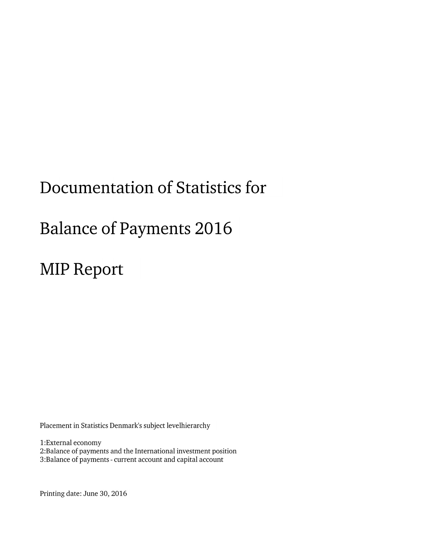# Documentation of Statistics for

# **Balance of Payments 2016**

**MIP Report** 

Placement in Statistics Denmark's subject levelhierarchy

1:External economy

2:Balance of payments and the International investment position 3:Balance of payments - current account and capital account

Printing date: June 30, 2016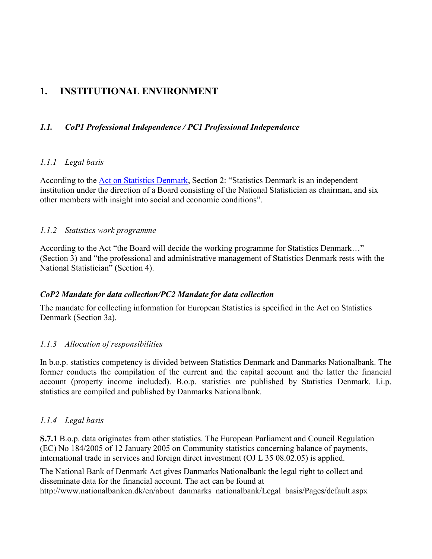# **1. INSTITUTIONAL ENVIRONMENT**

# *1.1. CoP1 Professional Independence / PC1 Professional Independence*

#### *1.1.1 Legal basis*

According to the [Act on Statistics Denmark,](http://www.dst.dk/pukora/epub/upload/10035/lovsam2006.pdf) Section 2: "Statistics Denmark is an independent institution under the direction of a Board consisting of the National Statistician as chairman, and six other members with insight into social and economic conditions".

## *1.1.2 Statistics work programme*

According to the Act "the Board will decide the working programme for Statistics Denmark…" (Section 3) and "the professional and administrative management of Statistics Denmark rests with the National Statistician" (Section 4).

## *CoP2 Mandate for data collection/PC2 Mandate for data collection*

The mandate for collecting information for European Statistics is specified in the Act on Statistics Denmark (Section 3a).

# *1.1.3 Allocation of responsibilities*

In b.o.p. statistics competency is divided between Statistics Denmark and Danmarks Nationalbank. The former conducts the compilation of the current and the capital account and the latter the financial account (property income included). B.o.p. statistics are published by Statistics Denmark. I.i.p. statistics are compiled and published by Danmarks Nationalbank.

## *1.1.4 Legal basis*

**S.7.1** B.o.p. data originates from other statistics. The European Parliament and Council Regulation (EC) No 184/2005 of 12 January 2005 on Community statistics concerning balance of payments, international trade in services and foreign direct investment (OJ L 35 08.02.05) is applied.

The National Bank of Denmark Act gives Danmarks Nationalbank the legal right to collect and disseminate data for the financial account. The act can be found at http://www.nationalbanken.dk/en/about\_danmarks\_nationalbank/Legal\_basis/Pages/default.aspx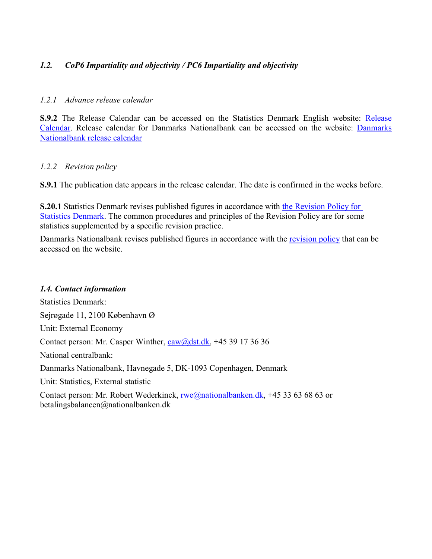# *1.2. CoP6 Impartiality and objectivity / PC6 Impartiality and objectivity*

#### *1.2.1 Advance release calendar*

**S.9.2** The Release Calendar can be accessed on the Statistics Denmark English website: [Release](http://www.dst.dk/en/Statistik/offentliggoerelser.aspx)  [Calendar.](http://www.dst.dk/en/Statistik/offentliggoerelser.aspx) Release calendar for Danmarks Nationalbank can be accessed on the website: [Danmarks](http://www.nationalbanken.dk/en/statistics/calendar/Pages/default.aspx)  Nationalbank [release calendar](http://www.nationalbanken.dk/en/statistics/calendar/Pages/default.aspx)

#### *1.2.2 Revision policy*

**S.9.1** The publication date appears in the release calendar. The date is confirmed in the weeks before.

**S.20.1** Statistics Denmark revises published figures in accordance with [the Revision Policy for](http://www.dst.dk/en/OmDS/strategi-og-kvalitet/revisionspolitik.aspx)  [Statistics Denmark.](http://www.dst.dk/en/OmDS/strategi-og-kvalitet/revisionspolitik.aspx) The common procedures and principles of the Revision Policy are for some statistics supplemented by a specific revision practice.

Danmarks Nationalbank revises published figures in accordance with the [revision policy](http://www.nationalbanken.dk/en/statistics/revision_policy/Pages/default.aspx) that can be accessed on the website.

## *1.4. Contact information*

Statistics Denmark: Sejrøgade 11, 2100 København Ø Unit: External Economy Contact person: Mr. Casper Winther, [caw@dst.dk,](mailto:caw@dst.dk) +45 39 17 36 36 National centralbank: Danmarks Nationalbank, Havnegade 5, DK-1093 Copenhagen, Denmark Unit: Statistics, External statistic Contact person: Mr. Robert Wederkinck, [rwe@nationalbanken.dk,](mailto:rwe@nationalbanken.dk) +45 33 63 68 63 or betalingsbalancen@nationalbanken.dk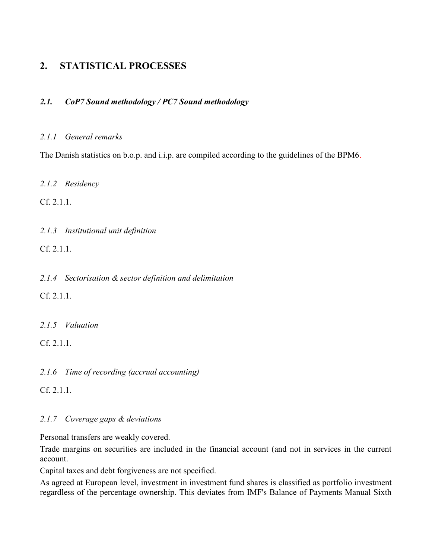# **2. STATISTICAL PROCESSES**

# *2.1. CoP7 Sound methodology / PC7 Sound methodology*

#### *2.1.1 General remarks*

The Danish statistics on b.o.p. and i.i.p. are compiled according to the guidelines of the BPM6.

*2.1.2 Residency*

Cf. 2.1.1.

*2.1.3 Institutional unit definition*

Cf. 2.1.1.

*2.1.4 Sectorisation & sector definition and delimitation*

Cf. 2.1.1.

*2.1.5 Valuation*

Cf. 2.1.1.

*2.1.6 Time of recording (accrual accounting)* 

 $Cf$  2.1.1

## *2.1.7 Coverage gaps & deviations*

Personal transfers are weakly covered.

Trade margins on securities are included in the financial account (and not in services in the current account.

Capital taxes and debt forgiveness are not specified.

As agreed at European level, investment in investment fund shares is classified as portfolio investment regardless of the percentage ownership. This deviates from IMF's Balance of Payments Manual Sixth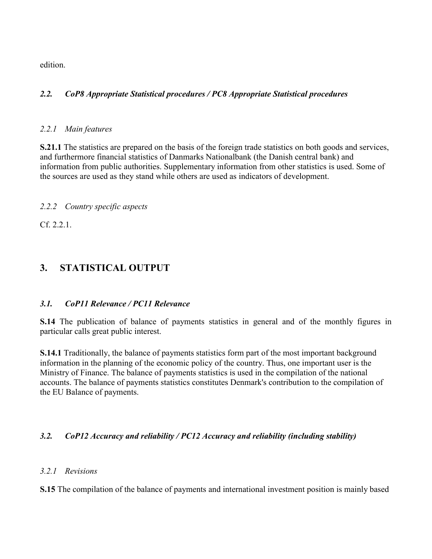edition.

# *2.2. CoP8 Appropriate Statistical procedures / PC8 Appropriate Statistical procedures*

# *2.2.1 Main features*

**S.21.1** The statistics are prepared on the basis of the foreign trade statistics on both goods and services, and furthermore financial statistics of Danmarks Nationalbank (the Danish central bank) and information from public authorities. Supplementary information from other statistics is used. Some of the sources are used as they stand while others are used as indicators of development.

# *2.2.2 Country specific aspects*

Cf. 2.2.1.

# **3. STATISTICAL OUTPUT**

## *3.1. CoP11 Relevance / PC11 Relevance*

**S.14** The publication of balance of payments statistics in general and of the monthly figures in particular calls great public interest.

**S.14.1** Traditionally, the balance of payments statistics form part of the most important background information in the planning of the economic policy of the country. Thus, one important user is the Ministry of Finance. The balance of payments statistics is used in the compilation of the national accounts. The balance of payments statistics constitutes Denmark's contribution to the compilation of the EU Balance of payments.

# *3.2. CoP12 Accuracy and reliability / PC12 Accuracy and reliability (including stability)*

## *3.2.1 Revisions*

**S.15** The compilation of the balance of payments and international investment position is mainly based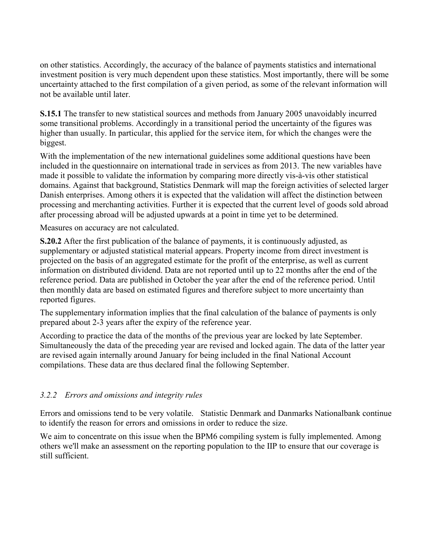on other statistics. Accordingly, the accuracy of the balance of payments statistics and international investment position is very much dependent upon these statistics. Most importantly, there will be some uncertainty attached to the first compilation of a given period, as some of the relevant information will not be available until later.

**S.15.1** The transfer to new statistical sources and methods from January 2005 unavoidably incurred some transitional problems. Accordingly in a transitional period the uncertainty of the figures was higher than usually. In particular, this applied for the service item, for which the changes were the biggest.

With the implementation of the new international guidelines some additional questions have been included in the questionnaire on international trade in services as from 2013. The new variables have made it possible to validate the information by comparing more directly vis-à-vis other statistical domains. Against that background, Statistics Denmark will map the foreign activities of selected larger Danish enterprises. Among others it is expected that the validation will affect the distinction between processing and merchanting activities. Further it is expected that the current level of goods sold abroad after processing abroad will be adjusted upwards at a point in time yet to be determined.

Measures on accuracy are not calculated.

**S.20.2** After the first publication of the balance of payments, it is continuously adjusted, as supplementary or adjusted statistical material appears. Property income from direct investment is projected on the basis of an aggregated estimate for the profit of the enterprise, as well as current information on distributed dividend. Data are not reported until up to 22 months after the end of the reference period. Data are published in October the year after the end of the reference period. Until then monthly data are based on estimated figures and therefore subject to more uncertainty than reported figures.

The supplementary information implies that the final calculation of the balance of payments is only prepared about 2-3 years after the expiry of the reference year.

According to practice the data of the months of the previous year are locked by late September. Simultaneously the data of the preceding year are revised and locked again. The data of the latter year are revised again internally around January for being included in the final National Account compilations. These data are thus declared final the following September.

## *3.2.2 Errors and omissions and integrity rules*

Errors and omissions tend to be very volatile. Statistic Denmark and Danmarks Nationalbank continue to identify the reason for errors and omissions in order to reduce the size.

We aim to concentrate on this issue when the BPM6 compiling system is fully implemented. Among others we'll make an assessment on the reporting population to the IIP to ensure that our coverage is still sufficient.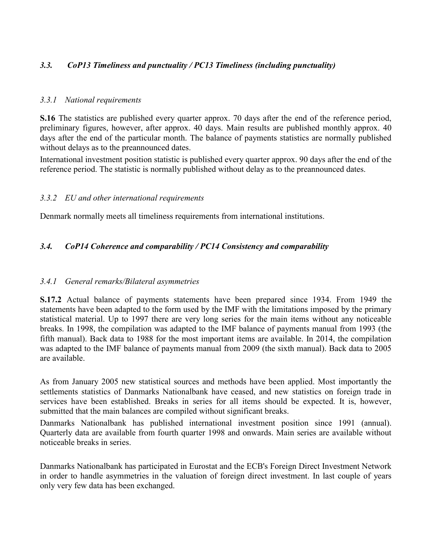# *3.3. CoP13 Timeliness and punctuality / PC13 Timeliness (including punctuality)*

#### *3.3.1 National requirements*

**S.16** The statistics are published every quarter approx. 70 days after the end of the reference period, preliminary figures, however, after approx. 40 days. Main results are published monthly approx. 40 days after the end of the particular month. The balance of payments statistics are normally published without delays as to the preannounced dates.

International investment position statistic is published every quarter approx. 90 days after the end of the reference period. The statistic is normally published without delay as to the preannounced dates.

#### *3.3.2 EU and other international requirements*

Denmark normally meets all timeliness requirements from international institutions.

## *3.4. CoP14 Coherence and comparability / PC14 Consistency and comparability*

#### *3.4.1 General remarks/Bilateral asymmetries*

**S.17.2** Actual balance of payments statements have been prepared since 1934. From 1949 the statements have been adapted to the form used by the IMF with the limitations imposed by the primary statistical material. Up to 1997 there are very long series for the main items without any noticeable breaks. In 1998, the compilation was adapted to the IMF balance of payments manual from 1993 (the fifth manual). Back data to 1988 for the most important items are available. In 2014, the compilation was adapted to the IMF balance of payments manual from 2009 (the sixth manual). Back data to 2005 are available.

As from January 2005 new statistical sources and methods have been applied. Most importantly the settlements statistics of Danmarks Nationalbank have ceased, and new statistics on foreign trade in services have been established. Breaks in series for all items should be expected. It is, however, submitted that the main balances are compiled without significant breaks.

Danmarks Nationalbank has published international investment position since 1991 (annual). Quarterly data are available from fourth quarter 1998 and onwards. Main series are available without noticeable breaks in series.

Danmarks Nationalbank has participated in Eurostat and the ECB's Foreign Direct Investment Network in order to handle asymmetries in the valuation of foreign direct investment. In last couple of years only very few data has been exchanged.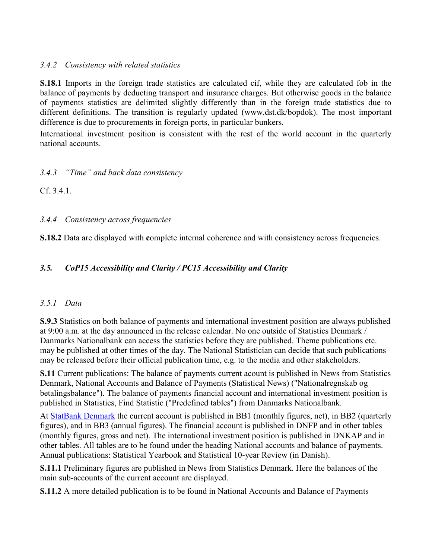# *3.4.2 Consistency with related statistics*

**S.18.1** Imports in the foreign trade statistics are calculated cif, while they are calculated fob in the balance of payments by deducting transport and insurance charges. But otherwise goods in the balance of payments statistics are delimited slightly differently than in the foreign trade statistics due to different definitions. The transition is regularly updated (www.dst.dk/bopdok). The most important difference is due to procurements in foreign ports, in particular bunkers.

International investment position is consistent with the rest of the world account in the quarterly national accounts.

# *3.4.3 "Time" and back data consistency*

Cf. 3.4.1.

*3.4.4 Consistency across frequencies*

**S.18.2** Data are displayed with **c**omplete internal coherence and with consistency across frequencies.

# *3.5. CoP15 Accessibility and Clarity / PC15 Accessibility and Clarity*

## *3.5.1 Data*

**S.9.3** Statistics on both balance of payments and international investment position are always published at 9:00 a.m. at the day announced in the release calendar. No one outside of Statistics Denmark / Danmarks Nationalbank can access the statistics before they are published. Theme publications etc. may be published at other times of the day. The National Statistician can decide that such publications may be released before their official publication time, e.g. to the media and other stakeholders.

**S.11** Current publications: The balance of payments current acount is published in News from Statistics Denmark, National Accounts and Balance of Payments (Statistical News) ("Nationalregnskab og betalingsbalance"). The balance of payments financial account and international investment position is published in Statistics, Find Statistic ("Predefined tables") from Danmarks Nationalbank.

At [StatBank Denmark](http://www.statbank.dk/statbank5a/default.asp?w=1536) the current account is published in BB1 (monthly figures, net), in BB2 (quarterly figures), and in BB3 (annual figures). The financial account is published in DNFP and in other tables (monthly figures, gross and net). The international investment position is published in DNKAP and in other tables. All tables are to be found under the heading National accounts and balance of payments. Annual publications: Statistical Yearbook and Statistical 10-year Review (in Danish).

**S.11.1** Preliminary figures are published in News from Statistics Denmark. Here the balances of the main sub-accounts of the current account are displayed.

**S.11.2** A more detailed publication is to be found in National Accounts and Balance of Payments